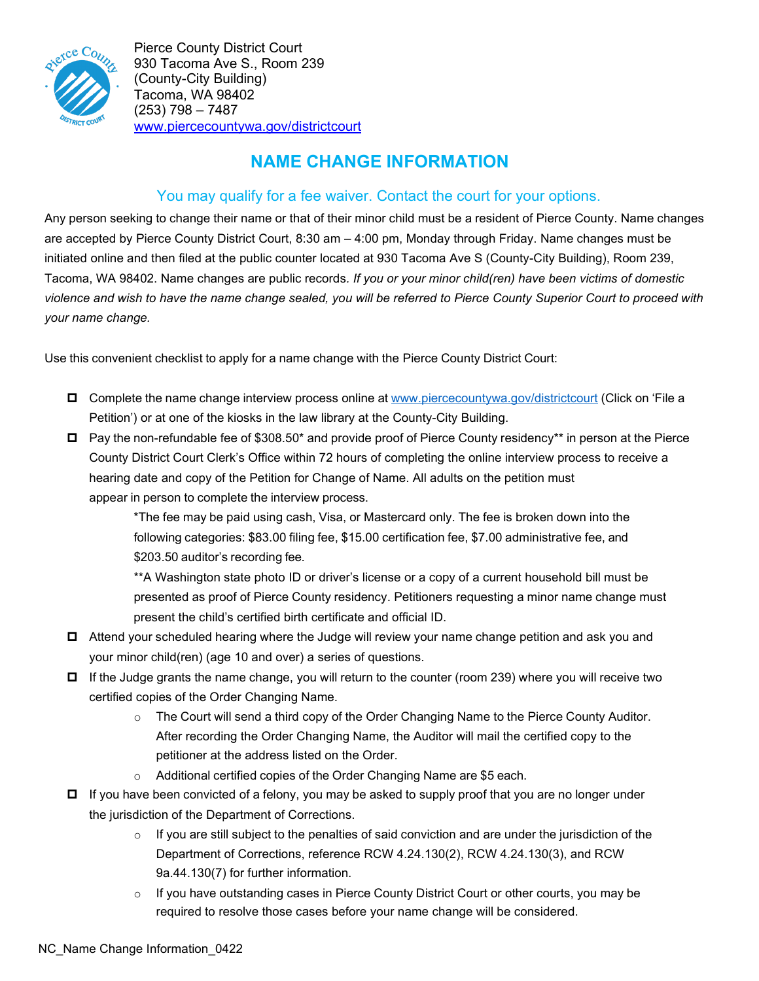

Pierce County District Court 930 Tacoma Ave S., Room 239 (County-City Building) Tacoma, WA 98402 (253) 798 – 7487 [www.piercecountywa.gov/districtcourt](http://www.piercecountywa.gov/districtcourt)

# **NAME CHANGE INFORMATION**

## You may qualify for a fee waiver. Contact the court for your options.

Any person seeking to change their name or that of their minor child must be a resident of Pierce County. Name changes are accepted by Pierce County District Court, 8:30 am – 4:00 pm, Monday through Friday. Name changes must be initiated online and then filed at the public counter located at 930 Tacoma Ave S (County-City Building), Room 239, Tacoma, WA 98402. Name changes are public records*. If you or your minor child(ren) have been victims of domestic violence and wish to have the name change sealed, you will be referred to Pierce County Superior Court to proceed with your name change.*

Use this convenient checklist to apply for a name change with the Pierce County District Court:

- Complete the name change interview process online at [www.piercecountywa.gov/districtcourt](http://www.piercecountywa.gov/districtcourt) (Click on 'File a Petition') or at one of the kiosks in the law library at the County-City Building.
- $\Box$  Pay the non-refundable fee of \$308.50\* and provide proof of Pierce County residency\*\* in person at the Pierce County District Court Clerk's Office within 72 hours of completing the online interview process to receive a hearing date and copy of the Petition for Change of Name. All adults on the petition must appear in person to complete the interview process.

\*The fee may be paid using cash, Visa, or Mastercard only. The fee is broken down into the following categories: \$83.00 filing fee, \$15.00 certification fee, \$7.00 administrative fee, and \$203.50 auditor's recording fee.

\*\*A Washington state photo ID or driver's license or a copy of a current household bill must be presented as proof of Pierce County residency. Petitioners requesting a minor name change must present the child's certified birth certificate and official ID.

- □ Attend your scheduled hearing where the Judge will review your name change petition and ask you and your minor child(ren) (age 10 and over) a series of questions.
- $\Box$  If the Judge grants the name change, you will return to the counter (room 239) where you will receive two certified copies of the Order Changing Name.
	- $\circ$  The Court will send a third copy of the Order Changing Name to the Pierce County Auditor. After recording the Order Changing Name, the Auditor will mail the certified copy to the petitioner at the address listed on the Order.
	- o Additional certified copies of the Order Changing Name are \$5 each.
- If you have been convicted of a felony, you may be asked to supply proof that you are no longer under the jurisdiction of the Department of Corrections.
	- $\circ$  If you are still subject to the penalties of said conviction and are under the jurisdiction of the Department of Corrections, reference RCW 4.24.130(2), RCW 4.24.130(3), and RCW 9a.44.130(7) for further information.
	- o If you have outstanding cases in Pierce County District Court or other courts, you may be required to resolve those cases before your name change will be considered.